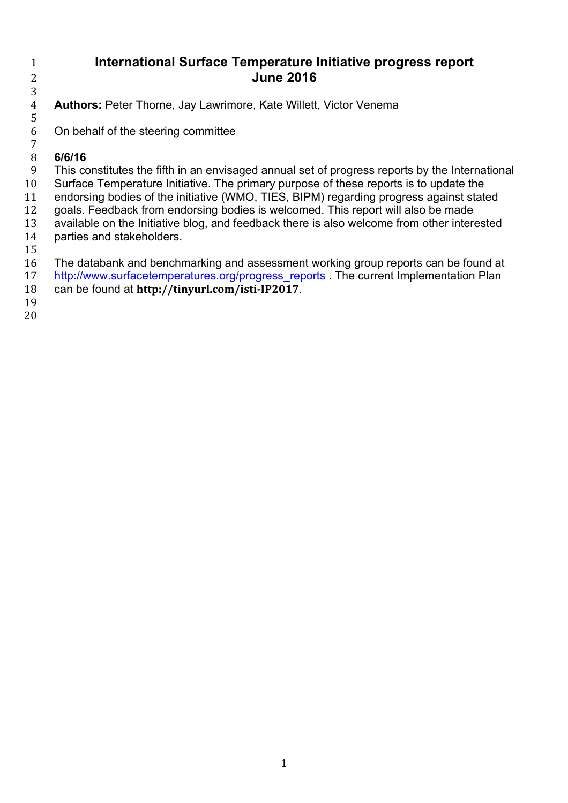## **International Surface Temperature Initiative progress report June 2016**

 **Authors:** Peter Thorne, Jay Lawrimore, Kate Willett, Victor Venema

 On behalf of the steering committee 

## **6/6/16**

 This constitutes the fifth in an envisaged annual set of progress reports by the International Surface Temperature Initiative. The primary purpose of these reports is to update the endorsing bodies of the initiative (WMO, TIES, BIPM) regarding progress against stated goals. Feedback from endorsing bodies is welcomed. This report will also be made available on the Initiative blog, and feedback there is also welcome from other interested parties and stakeholders.

- The databank and benchmarking and assessment working group reports can be found at
- 17 http://www.surfacetemperatures.org/progress\_reports The current Implementation Plan
- can be found at **http://tinyurl.com/isti-IP2017**.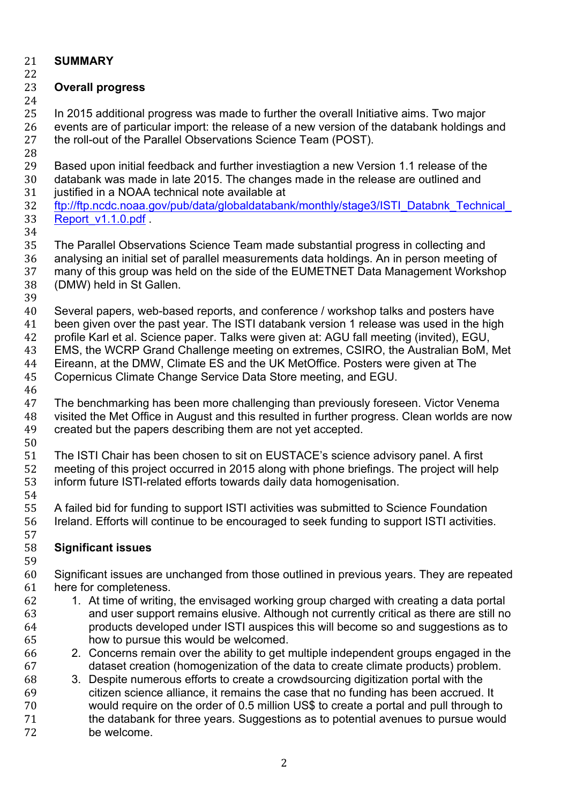## **SUMMARY**

# **Overall progress**

 In 2015 additional progress was made to further the overall Initiative aims. Two major events are of particular import: the release of a new version of the databank holdings and the roll-out of the Parallel Observations Science Team (POST).

- 
- Based upon initial feedback and further investiagtion a new Version 1.1 release of the
- databank was made in late 2015. The changes made in the release are outlined and
- justified in a NOAA technical note available at
- ftp://ftp.ncdc.noaa.gov/pub/data/globaldatabank/monthly/stage3/ISTI\_Databnk\_Technical\_ Report\_v1.1.0.pdf .
- 

 The Parallel Observations Science Team made substantial progress in collecting and analysing an initial set of parallel measurements data holdings. An in person meeting of many of this group was held on the side of the EUMETNET Data Management Workshop (DMW) held in St Gallen.

 Several papers, web-based reports, and conference / workshop talks and posters have been given over the past year. The ISTI databank version 1 release was used in the high

profile Karl et al. Science paper. Talks were given at: AGU fall meeting (invited), EGU,

EMS, the WCRP Grand Challenge meeting on extremes, CSIRO, the Australian BoM, Met

Eireann, at the DMW, Climate ES and the UK MetOffice. Posters were given at The

Copernicus Climate Change Service Data Store meeting, and EGU.

 The benchmarking has been more challenging than previously foreseen. Victor Venema visited the Met Office in August and this resulted in further progress. Clean worlds are now created but the papers describing them are not yet accepted.

 The ISTI Chair has been chosen to sit on EUSTACE's science advisory panel. A first meeting of this project occurred in 2015 along with phone briefings. The project will help inform future ISTI-related efforts towards daily data homogenisation. 

 A failed bid for funding to support ISTI activities was submitted to Science Foundation Ireland. Efforts will continue to be encouraged to seek funding to support ISTI activities. 

# **Significant issues**

 Significant issues are unchanged from those outlined in previous years. They are repeated here for completeness.

- 1. At time of writing, the envisaged working group charged with creating a data portal and user support remains elusive. Although not currently critical as there are still no products developed under ISTI auspices this will become so and suggestions as to how to pursue this would be welcomed.
- 2. Concerns remain over the ability to get multiple independent groups engaged in the dataset creation (homogenization of the data to create climate products) problem.
- 3. Despite numerous efforts to create a crowdsourcing digitization portal with the citizen science alliance, it remains the case that no funding has been accrued. It would require on the order of 0.5 million US\$ to create a portal and pull through to the databank for three years. Suggestions as to potential avenues to pursue would be welcome.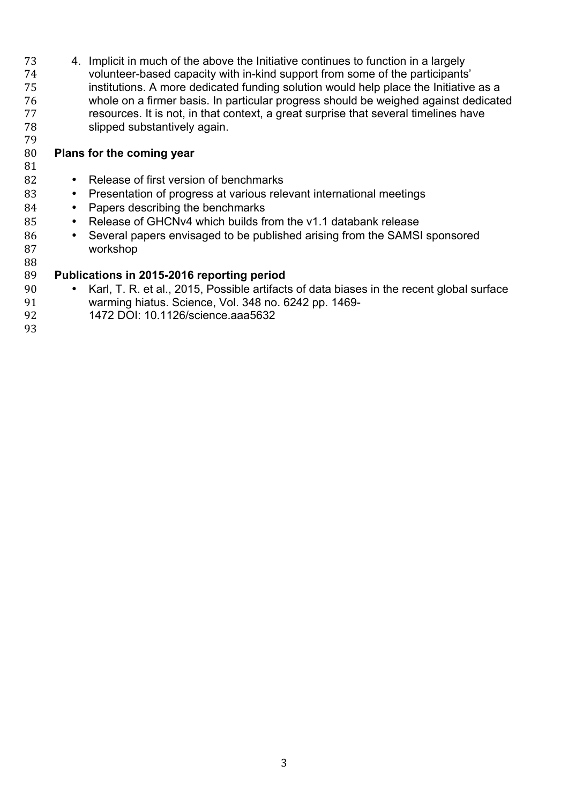4. Implicit in much of the above the Initiative continues to function in a largely volunteer-based capacity with in-kind support from some of the participants' institutions. A more dedicated funding solution would help place the Initiative as a whole on a firmer basis. In particular progress should be weighed against dedicated resources. It is not, in that context, a great surprise that several timelines have slipped substantively again.

### **Plans for the coming year**

# 82 • Release of first version of benchmarks<br>83 • Presentation of progress at various rele

- Presentation of progress at various relevant international meetings
- 84 Papers describing the benchmarks
- 85 Release of GHCNv4 which builds from the v1.1 databank release
- 86 Several papers envisaged to be published arising from the SAMSI sponsored workshop workshop

### **Publications in 2015-2016 reporting period**

- 90 Karl, T. R. et al., 2015, Possible artifacts of data biases in the recent global surface<br>91 warming hiatus. Science. Vol. 348 no. 6242 pp. 1469warming hiatus. Science, Vol. 348 no. 6242 pp. 1469-
- 1472 DOI: 10.1126/science.aaa5632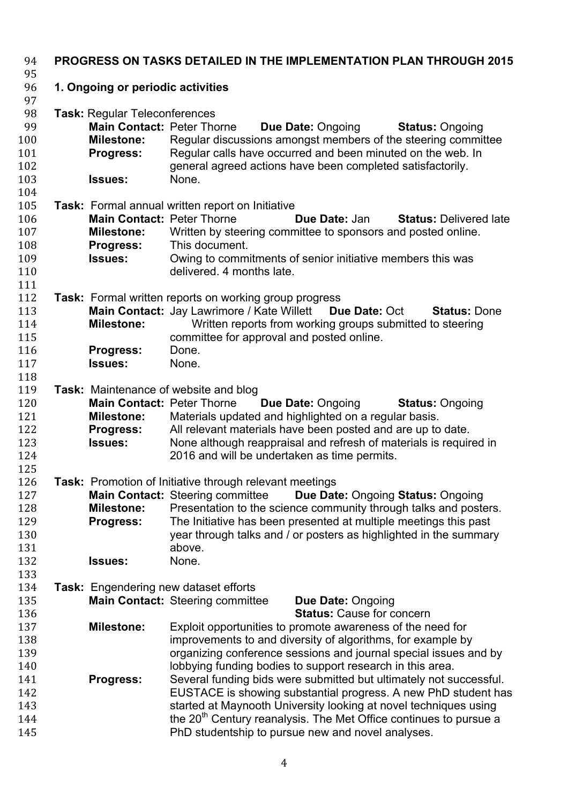| 94<br>95                                      | <b>PROGRESS ON TASKS DETAILED IN THE IMPLEMENTATION PLAN THROUGH 2015</b>                                                            |                                                                                                                                                                                                                                                                                                                                                                  |  |  |  |
|-----------------------------------------------|--------------------------------------------------------------------------------------------------------------------------------------|------------------------------------------------------------------------------------------------------------------------------------------------------------------------------------------------------------------------------------------------------------------------------------------------------------------------------------------------------------------|--|--|--|
| 96<br>97                                      | 1. Ongoing or periodic activities                                                                                                    |                                                                                                                                                                                                                                                                                                                                                                  |  |  |  |
| 98<br>99<br>100<br>101<br>102<br>103          | <b>Task: Regular Teleconferences</b><br><b>Main Contact: Peter Thorne</b><br><b>Milestone:</b><br><b>Progress:</b><br><b>Issues:</b> | <b>Due Date: Ongoing</b><br><b>Status: Ongoing</b><br>Regular discussions amongst members of the steering committee<br>Regular calls have occurred and been minuted on the web. In<br>general agreed actions have been completed satisfactorily.<br>None.                                                                                                        |  |  |  |
| 104                                           |                                                                                                                                      |                                                                                                                                                                                                                                                                                                                                                                  |  |  |  |
| 105<br>106<br>107<br>108<br>109<br>110<br>111 | <b>Main Contact: Peter Thorne</b><br><b>Milestone:</b><br><b>Progress:</b><br><b>Issues:</b>                                         | <b>Task:</b> Formal annual written report on Initiative<br>Due Date: Jan<br><b>Status: Delivered late</b><br>Written by steering committee to sponsors and posted online.<br>This document.<br>Owing to commitments of senior initiative members this was<br>delivered, 4 months late.                                                                           |  |  |  |
| 112<br>113<br>114<br>115                      | <b>Milestone:</b>                                                                                                                    | <b>Task:</b> Formal written reports on working group progress<br>Main Contact: Jay Lawrimore / Kate Willett<br>Due Date: Oct<br><b>Status: Done</b><br>Written reports from working groups submitted to steering<br>committee for approval and posted online.                                                                                                    |  |  |  |
| 116<br>117<br>118                             | Progress:<br><b>Issues:</b>                                                                                                          | Done.<br>None.                                                                                                                                                                                                                                                                                                                                                   |  |  |  |
| 119<br>120<br>121<br>122<br>123<br>124<br>125 | <b>Main Contact: Peter Thorne</b><br><b>Milestone:</b><br><b>Progress:</b><br><b>Issues:</b>                                         | <b>Task:</b> Maintenance of website and blog<br>Due Date: Ongoing<br><b>Status: Ongoing</b><br>Materials updated and highlighted on a regular basis.<br>All relevant materials have been posted and are up to date.<br>None although reappraisal and refresh of materials is required in<br>2016 and will be undertaken as time permits.                         |  |  |  |
| 126<br>127<br>128<br>129<br>130<br>131<br>132 | <b>Milestone:</b><br>Progress:<br><b>Issues:</b>                                                                                     | Task: Promotion of Initiative through relevant meetings<br>Main Contact: Steering committee<br>Due Date: Ongoing Status: Ongoing<br>Presentation to the science community through talks and posters.<br>The Initiative has been presented at multiple meetings this past<br>year through talks and / or posters as highlighted in the summary<br>above.<br>None. |  |  |  |
| 133<br>134                                    |                                                                                                                                      | <b>Task:</b> Engendering new dataset efforts                                                                                                                                                                                                                                                                                                                     |  |  |  |
| 135<br>136                                    |                                                                                                                                      | <b>Main Contact: Steering committee</b><br>Due Date: Ongoing<br><b>Status: Cause for concern</b>                                                                                                                                                                                                                                                                 |  |  |  |
| 137<br>138<br>139<br>140                      | <b>Milestone:</b>                                                                                                                    | Exploit opportunities to promote awareness of the need for<br>improvements to and diversity of algorithms, for example by<br>organizing conference sessions and journal special issues and by<br>lobbying funding bodies to support research in this area.                                                                                                       |  |  |  |
| 141<br>142<br>143<br>144<br>145               | Progress:                                                                                                                            | Several funding bids were submitted but ultimately not successful.<br>EUSTACE is showing substantial progress. A new PhD student has<br>started at Maynooth University looking at novel techniques using<br>the 20 <sup>th</sup> Century reanalysis. The Met Office continues to pursue a<br>PhD studentship to pursue new and novel analyses.                   |  |  |  |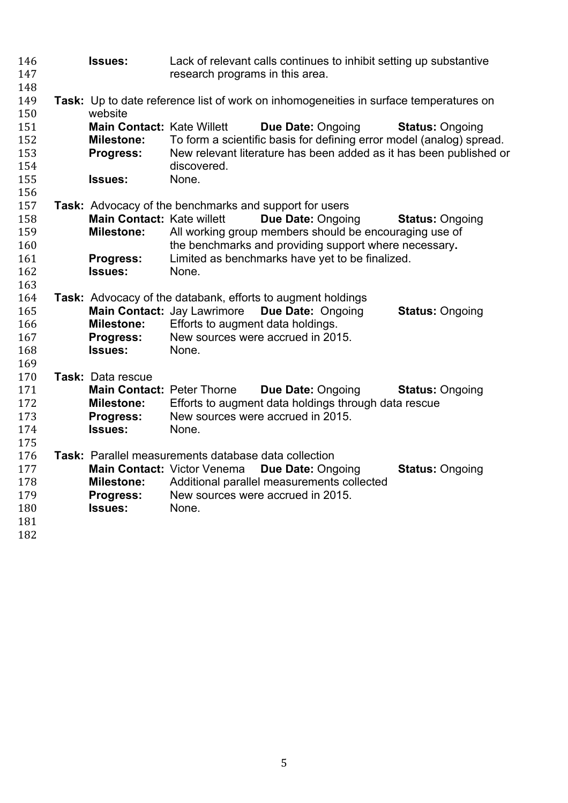| 146<br>147<br>148 | <b>Issues:</b>                    | Lack of relevant calls continues to inhibit setting up substantive<br>research programs in this area. |                                                                                       |                        |
|-------------------|-----------------------------------|-------------------------------------------------------------------------------------------------------|---------------------------------------------------------------------------------------|------------------------|
| 149<br>150        | website                           |                                                                                                       | Task: Up to date reference list of work on inhomogeneities in surface temperatures on |                        |
| 151               | <b>Main Contact: Kate Willett</b> |                                                                                                       | Due Date: Ongoing                                                                     | <b>Status: Ongoing</b> |
| 152               | <b>Milestone:</b>                 |                                                                                                       | To form a scientific basis for defining error model (analog) spread.                  |                        |
| 153               | <b>Progress:</b>                  |                                                                                                       | New relevant literature has been added as it has been published or                    |                        |
| 154               |                                   | discovered.                                                                                           |                                                                                       |                        |
| 155               | <b>Issues:</b>                    | None.                                                                                                 |                                                                                       |                        |
| 156               |                                   |                                                                                                       |                                                                                       |                        |
| 157               |                                   |                                                                                                       | <b>Task:</b> Advocacy of the benchmarks and support for users                         |                        |
| 158               | <b>Main Contact: Kate willett</b> |                                                                                                       | Due Date: Ongoing                                                                     | <b>Status: Ongoing</b> |
| 159               | <b>Milestone:</b>                 |                                                                                                       | All working group members should be encouraging use of                                |                        |
| 160               |                                   |                                                                                                       | the benchmarks and providing support where necessary.                                 |                        |
| 161               | Progress:                         |                                                                                                       | Limited as benchmarks have yet to be finalized.                                       |                        |
| 162               | <b>Issues:</b>                    | None.                                                                                                 |                                                                                       |                        |
| 163<br>164        |                                   |                                                                                                       |                                                                                       |                        |
| 165               |                                   | <b>Main Contact: Jay Lawrimore</b>                                                                    | Task: Advocacy of the databank, efforts to augment holdings<br>Due Date: Ongoing      | <b>Status: Ongoing</b> |
| 166               | <b>Milestone:</b>                 | Efforts to augment data holdings.                                                                     |                                                                                       |                        |
| 167               | <b>Progress:</b>                  |                                                                                                       | New sources were accrued in 2015.                                                     |                        |
| 168               | <b>Issues:</b>                    | None.                                                                                                 |                                                                                       |                        |
| 169               |                                   |                                                                                                       |                                                                                       |                        |
| 170               | Task: Data rescue                 |                                                                                                       |                                                                                       |                        |
| 171               | <b>Main Contact: Peter Thorne</b> |                                                                                                       | Due Date: Ongoing                                                                     | <b>Status: Ongoing</b> |
| 172               | <b>Milestone:</b>                 |                                                                                                       | Efforts to augment data holdings through data rescue                                  |                        |
| 173               | Progress:                         |                                                                                                       | New sources were accrued in 2015.                                                     |                        |
| 174               | <b>Issues:</b>                    | None.                                                                                                 |                                                                                       |                        |
| 175               |                                   |                                                                                                       |                                                                                       |                        |
| 176               |                                   | Task: Parallel measurements database data collection                                                  |                                                                                       |                        |
| 177               |                                   | Main Contact: Victor Venema                                                                           | Due Date: Ongoing                                                                     | <b>Status: Ongoing</b> |
| 178               | <b>Milestone:</b>                 |                                                                                                       | Additional parallel measurements collected                                            |                        |
| 179               | <b>Progress:</b>                  |                                                                                                       | New sources were accrued in 2015.                                                     |                        |
| 180<br>181        | <b>Issues:</b>                    | None.                                                                                                 |                                                                                       |                        |
| 182               |                                   |                                                                                                       |                                                                                       |                        |
|                   |                                   |                                                                                                       |                                                                                       |                        |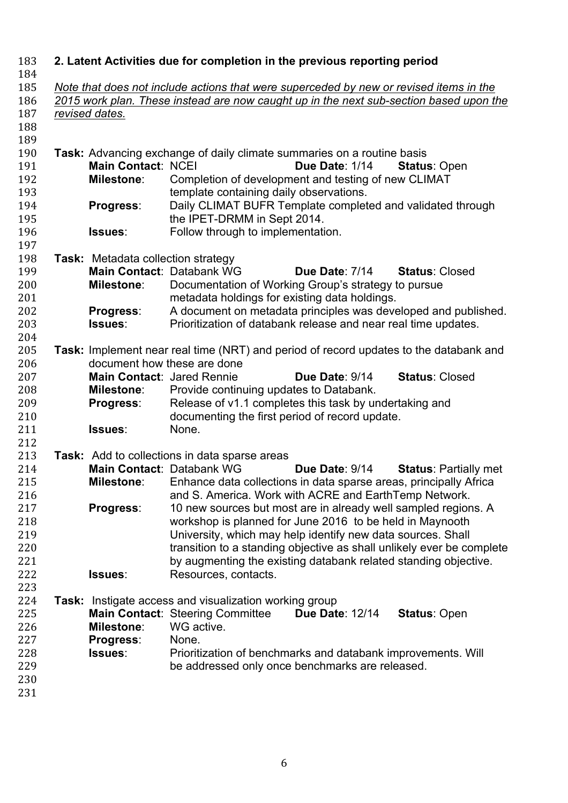| 183        |                                                                                                                                                                                  | 2. Latent Activities due for completion in the previous reporting period              |  |  |  |  |
|------------|----------------------------------------------------------------------------------------------------------------------------------------------------------------------------------|---------------------------------------------------------------------------------------|--|--|--|--|
| 184<br>185 |                                                                                                                                                                                  |                                                                                       |  |  |  |  |
| 186        | Note that does not include actions that were superceded by new or revised items in the<br>2015 work plan. These instead are now caught up in the next sub-section based upon the |                                                                                       |  |  |  |  |
| 187        | revised dates.                                                                                                                                                                   |                                                                                       |  |  |  |  |
| 188        |                                                                                                                                                                                  |                                                                                       |  |  |  |  |
| 189        |                                                                                                                                                                                  |                                                                                       |  |  |  |  |
| 190        | Task: Advancing exchange of daily climate summaries on a routine basis                                                                                                           |                                                                                       |  |  |  |  |
| 191        | <b>Main Contact: NCEI</b>                                                                                                                                                        | Due Date: 1/14<br><b>Status: Open</b>                                                 |  |  |  |  |
| 192        | <b>Milestone:</b>                                                                                                                                                                | Completion of development and testing of new CLIMAT                                   |  |  |  |  |
| 193        |                                                                                                                                                                                  | template containing daily observations.                                               |  |  |  |  |
| 194        | Progress:                                                                                                                                                                        | Daily CLIMAT BUFR Template completed and validated through                            |  |  |  |  |
| 195        |                                                                                                                                                                                  | the IPET-DRMM in Sept 2014.                                                           |  |  |  |  |
| 196        | Issues:                                                                                                                                                                          | Follow through to implementation.                                                     |  |  |  |  |
| 197        |                                                                                                                                                                                  |                                                                                       |  |  |  |  |
| 198        | <b>Task:</b> Metadata collection strategy                                                                                                                                        |                                                                                       |  |  |  |  |
| 199        | Main Contact: Databank WG                                                                                                                                                        | <b>Status: Closed</b><br>Due Date: 7/14                                               |  |  |  |  |
| 200        | <b>Milestone:</b>                                                                                                                                                                | Documentation of Working Group's strategy to pursue                                   |  |  |  |  |
| 201        |                                                                                                                                                                                  | metadata holdings for existing data holdings.                                         |  |  |  |  |
| 202        | <b>Progress:</b>                                                                                                                                                                 | A document on metadata principles was developed and published.                        |  |  |  |  |
| 203        | <b>Issues:</b>                                                                                                                                                                   | Prioritization of databank release and near real time updates.                        |  |  |  |  |
| 204        |                                                                                                                                                                                  |                                                                                       |  |  |  |  |
| 205        |                                                                                                                                                                                  | Task: Implement near real time (NRT) and period of record updates to the databank and |  |  |  |  |
| 206        | document how these are done                                                                                                                                                      |                                                                                       |  |  |  |  |
| 207        | Main Contact: Jared Rennie                                                                                                                                                       | Due Date: 9/14<br><b>Status: Closed</b>                                               |  |  |  |  |
| 208        | <b>Milestone:</b>                                                                                                                                                                | Provide continuing updates to Databank.                                               |  |  |  |  |
| 209        | <b>Progress:</b>                                                                                                                                                                 | Release of v1.1 completes this task by undertaking and                                |  |  |  |  |
| 210        |                                                                                                                                                                                  | documenting the first period of record update.                                        |  |  |  |  |
| 211        | Issues:                                                                                                                                                                          | None.                                                                                 |  |  |  |  |
| 212        |                                                                                                                                                                                  |                                                                                       |  |  |  |  |
| 213        |                                                                                                                                                                                  | <b>Task:</b> Add to collections in data sparse areas                                  |  |  |  |  |
| 214        | Main Contact: Databank WG                                                                                                                                                        | Due Date: 9/14<br><b>Status: Partially met</b>                                        |  |  |  |  |
| 215        | <b>Milestone:</b>                                                                                                                                                                | Enhance data collections in data sparse areas, principally Africa                     |  |  |  |  |
| 216        |                                                                                                                                                                                  | and S. America. Work with ACRE and EarthTemp Network.                                 |  |  |  |  |
| 217        | Progress:                                                                                                                                                                        | 10 new sources but most are in already well sampled regions. A                        |  |  |  |  |
| 218        |                                                                                                                                                                                  | workshop is planned for June 2016 to be held in Maynooth                              |  |  |  |  |
| 219        |                                                                                                                                                                                  | University, which may help identify new data sources. Shall                           |  |  |  |  |
| 220        |                                                                                                                                                                                  | transition to a standing objective as shall unlikely ever be complete                 |  |  |  |  |
| 221        |                                                                                                                                                                                  | by augmenting the existing databank related standing objective.                       |  |  |  |  |
| 222        | <b>Issues:</b>                                                                                                                                                                   | Resources, contacts.                                                                  |  |  |  |  |
| 223        |                                                                                                                                                                                  |                                                                                       |  |  |  |  |
| 224        |                                                                                                                                                                                  | <b>Task:</b> Instigate access and visualization working group                         |  |  |  |  |
| 225        |                                                                                                                                                                                  | Main Contact: Steering Committee<br><b>Due Date: 12/14</b><br><b>Status: Open</b>     |  |  |  |  |
| 226        | <b>Milestone:</b>                                                                                                                                                                | WG active.                                                                            |  |  |  |  |
| 227        | Progress:                                                                                                                                                                        | None.                                                                                 |  |  |  |  |
| 228        | <b>Issues:</b>                                                                                                                                                                   | Prioritization of benchmarks and databank improvements. Will                          |  |  |  |  |
| 229        |                                                                                                                                                                                  | be addressed only once benchmarks are released.                                       |  |  |  |  |
| 230        |                                                                                                                                                                                  |                                                                                       |  |  |  |  |
| 231        |                                                                                                                                                                                  |                                                                                       |  |  |  |  |
|            |                                                                                                                                                                                  |                                                                                       |  |  |  |  |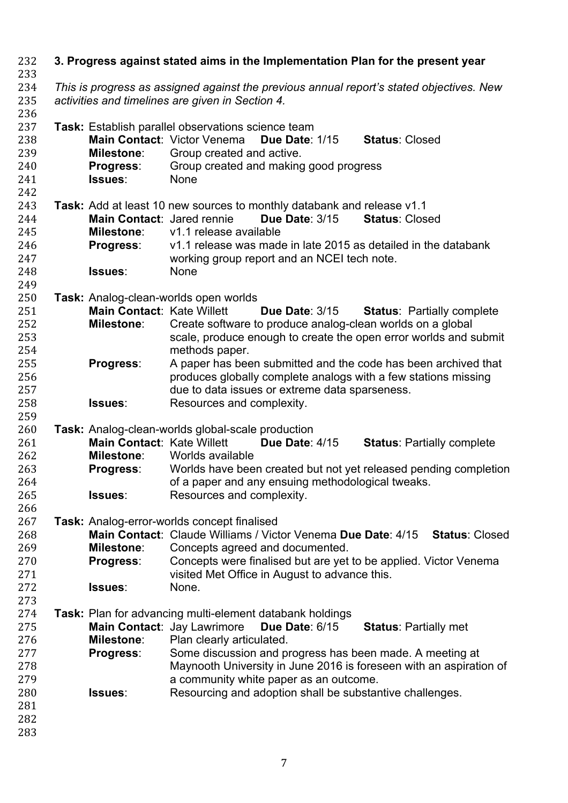| 232<br>233                                                         | 3. Progress against stated aims in the Implementation Plan for the present year |                                                                                                                                              |                                                                                                                                                                                                                                                                                                                                                                                                                       |  |  |  |  |  |
|--------------------------------------------------------------------|---------------------------------------------------------------------------------|----------------------------------------------------------------------------------------------------------------------------------------------|-----------------------------------------------------------------------------------------------------------------------------------------------------------------------------------------------------------------------------------------------------------------------------------------------------------------------------------------------------------------------------------------------------------------------|--|--|--|--|--|
| 234<br>235<br>236                                                  |                                                                                 | This is progress as assigned against the previous annual report's stated objectives. New<br>activities and timelines are given in Section 4. |                                                                                                                                                                                                                                                                                                                                                                                                                       |  |  |  |  |  |
| 237<br>238<br>239<br>240<br>241<br>242                             |                                                                                 | <b>Milestone:</b><br><b>Progress:</b><br>Issues:                                                                                             | Task: Establish parallel observations science team<br>Main Contact: Victor Venema<br><b>Due Date: 1/15</b><br><b>Status: Closed</b><br>Group created and active.<br>Group created and making good progress<br><b>None</b>                                                                                                                                                                                             |  |  |  |  |  |
| 243<br>244<br>245<br>246<br>247<br>248<br>249                      |                                                                                 | Main Contact: Jared rennie<br><b>Milestone:</b><br><b>Progress:</b><br><b>Issues:</b>                                                        | Task: Add at least 10 new sources to monthly databank and release v1.1<br><b>Due Date: 3/15</b><br><b>Status: Closed</b><br>v1.1 release available<br>v1.1 release was made in late 2015 as detailed in the databank<br>working group report and an NCEI tech note.<br>None                                                                                                                                           |  |  |  |  |  |
| 250<br>251<br>252<br>253<br>254                                    |                                                                                 | Main Contact: Kate Willett<br><b>Milestone:</b>                                                                                              | Task: Analog-clean-worlds open worlds<br><b>Due Date: 3/15</b><br><b>Status: Partially complete</b><br>Create software to produce analog-clean worlds on a global<br>scale, produce enough to create the open error worlds and submit<br>methods paper.                                                                                                                                                               |  |  |  |  |  |
| 255<br>256<br>257<br>258                                           |                                                                                 | Progress:<br>Issues:                                                                                                                         | A paper has been submitted and the code has been archived that<br>produces globally complete analogs with a few stations missing<br>due to data issues or extreme data sparseness.<br>Resources and complexity.                                                                                                                                                                                                       |  |  |  |  |  |
| 259<br>260<br>261<br>262<br>263<br>264<br>265<br>266               |                                                                                 | <b>Main Contact: Kate Willett</b><br><b>Milestone:</b><br><b>Progress:</b><br>Issues:                                                        | Task: Analog-clean-worlds global-scale production<br><b>Due Date: 4/15</b><br><b>Status: Partially complete</b><br>Worlds available<br>Worlds have been created but not yet released pending completion<br>of a paper and any ensuing methodological tweaks.<br>Resources and complexity.                                                                                                                             |  |  |  |  |  |
| 267<br>268<br>269<br>270<br>271<br>272<br>273                      |                                                                                 | Milestone:<br>Progress:<br>Issues:                                                                                                           | Task: Analog-error-worlds concept finalised<br>Main Contact: Claude Williams / Victor Venema Due Date: 4/15<br><b>Status: Closed</b><br>Concepts agreed and documented.<br>Concepts were finalised but are yet to be applied. Victor Venema<br>visited Met Office in August to advance this.<br>None.                                                                                                                 |  |  |  |  |  |
| 274<br>275<br>276<br>277<br>278<br>279<br>280<br>281<br>282<br>283 |                                                                                 | <b>Milestone:</b><br><b>Progress:</b><br><b>Issues:</b>                                                                                      | <b>Task:</b> Plan for advancing multi-element databank holdings<br>Main Contact: Jay Lawrimore<br>Due Date: 6/15<br><b>Status: Partially met</b><br>Plan clearly articulated.<br>Some discussion and progress has been made. A meeting at<br>Maynooth University in June 2016 is foreseen with an aspiration of<br>a community white paper as an outcome.<br>Resourcing and adoption shall be substantive challenges. |  |  |  |  |  |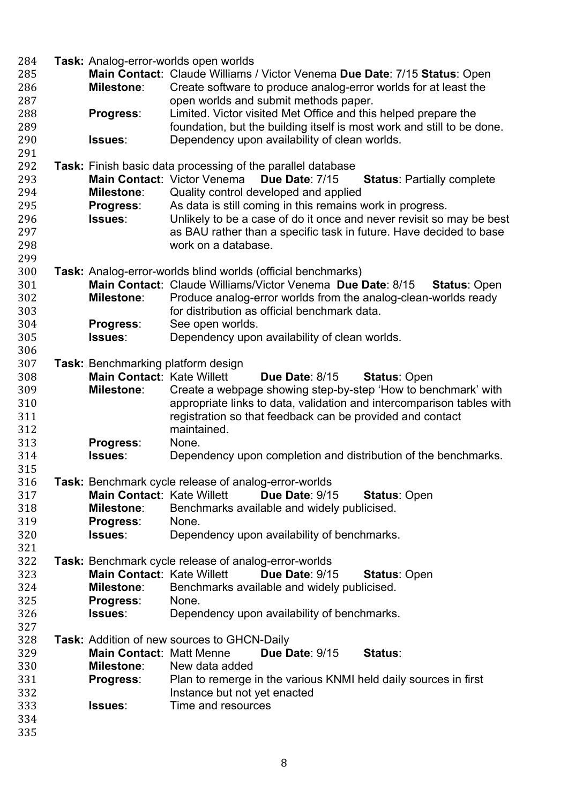| 284 |                                    | Task: Analog-error-worlds open worlds                                              |
|-----|------------------------------------|------------------------------------------------------------------------------------|
| 285 |                                    | Main Contact: Claude Williams / Victor Venema Due Date: 7/15 Status: Open          |
| 286 | Milestone:                         | Create software to produce analog-error worlds for at least the                    |
| 287 |                                    | open worlds and submit methods paper.                                              |
|     |                                    | Limited. Victor visited Met Office and this helped prepare the                     |
| 288 | Progress:                          |                                                                                    |
| 289 |                                    | foundation, but the building itself is most work and still to be done.             |
| 290 | Issues:                            | Dependency upon availability of clean worlds.                                      |
| 291 |                                    |                                                                                    |
| 292 |                                    | <b>Task:</b> Finish basic data processing of the parallel database                 |
| 293 |                                    | Main Contact: Victor Venema<br>Due Date: 7/15<br><b>Status: Partially complete</b> |
| 294 | <b>Milestone:</b>                  | Quality control developed and applied                                              |
| 295 | <b>Progress:</b>                   | As data is still coming in this remains work in progress.                          |
| 296 | Issues:                            | Unlikely to be a case of do it once and never revisit so may be best               |
| 297 |                                    | as BAU rather than a specific task in future. Have decided to base                 |
| 298 |                                    | work on a database.                                                                |
| 299 |                                    |                                                                                    |
| 300 |                                    | Task: Analog-error-worlds blind worlds (official benchmarks)                       |
| 301 |                                    | Main Contact: Claude Williams/Victor Venema Due Date: 8/15<br><b>Status: Open</b>  |
| 302 | <b>Milestone:</b>                  | Produce analog-error worlds from the analog-clean-worlds ready                     |
| 303 |                                    | for distribution as official benchmark data.                                       |
| 304 | Progress:                          | See open worlds.                                                                   |
|     | Issues:                            |                                                                                    |
| 305 |                                    | Dependency upon availability of clean worlds.                                      |
| 306 |                                    |                                                                                    |
| 307 | Task: Benchmarking platform design |                                                                                    |
| 308 | <b>Main Contact: Kate Willett</b>  | <b>Due Date: 8/15</b><br><b>Status: Open</b>                                       |
| 309 | <b>Milestone:</b>                  | Create a webpage showing step-by-step 'How to benchmark' with                      |
| 310 |                                    | appropriate links to data, validation and intercomparison tables with              |
| 311 |                                    | registration so that feedback can be provided and contact                          |
| 312 |                                    | maintained.                                                                        |
| 313 | Progress:                          | None.                                                                              |
| 314 | Issues:                            | Dependency upon completion and distribution of the benchmarks.                     |
| 315 |                                    |                                                                                    |
| 316 |                                    | Task: Benchmark cycle release of analog-error-worlds                               |
| 317 | <b>Main Contact: Kate Willett</b>  | Due Date: 9/15<br><b>Status: Open</b>                                              |
| 318 | <b>Milestone:</b>                  | Benchmarks available and widely publicised.                                        |
| 319 | <b>Progress:</b>                   | None.                                                                              |
| 320 | Issues:                            | Dependency upon availability of benchmarks.                                        |
| 321 |                                    |                                                                                    |
| 322 |                                    | Task: Benchmark cycle release of analog-error-worlds                               |
| 323 | <b>Main Contact: Kate Willett</b>  | <b>Due Date: 9/15</b><br><b>Status: Open</b>                                       |
| 324 | <b>Milestone:</b>                  | Benchmarks available and widely publicised.                                        |
| 325 |                                    | None.                                                                              |
| 326 | <b>Progress:</b><br>Issues:        | Dependency upon availability of benchmarks.                                        |
|     |                                    |                                                                                    |
| 327 |                                    |                                                                                    |
| 328 |                                    | <b>Task:</b> Addition of new sources to GHCN-Daily                                 |
| 329 | <b>Main Contact: Matt Menne</b>    | <b>Due Date: 9/15</b><br>Status:                                                   |
| 330 | Milestone:                         | New data added                                                                     |
| 331 | <b>Progress:</b>                   | Plan to remerge in the various KNMI held daily sources in first                    |
| 332 |                                    | Instance but not yet enacted                                                       |
| 333 | <b>Issues</b> :                    | Time and resources                                                                 |
| 334 |                                    |                                                                                    |
| 335 |                                    |                                                                                    |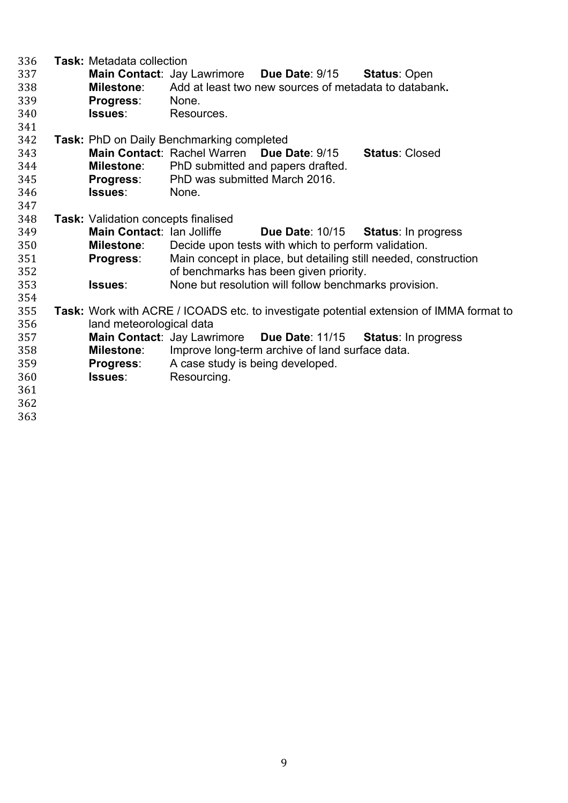| 336<br>337<br>338<br>339<br>340<br>341 | <b>Task: Metadata collection</b><br><b>Milestone:</b><br><b>Progress:</b><br>Issues: | <b>Main Contact: Jay Lawrimore</b><br>None.<br>Resources. | Due Date: 9/15<br>Add at least two new sources of metadata to databank. | <b>Status: Open</b>                                                                            |
|----------------------------------------|--------------------------------------------------------------------------------------|-----------------------------------------------------------|-------------------------------------------------------------------------|------------------------------------------------------------------------------------------------|
| 342                                    |                                                                                      | <b>Task: PhD on Daily Benchmarking completed</b>          |                                                                         |                                                                                                |
| 343                                    |                                                                                      | Main Contact: Rachel Warren                               | <b>Due Date: 9/15</b>                                                   | <b>Status: Closed</b>                                                                          |
| 344                                    | <b>Milestone:</b>                                                                    |                                                           | PhD submitted and papers drafted.                                       |                                                                                                |
| 345                                    | <b>Progress:</b>                                                                     | PhD was submitted March 2016.                             |                                                                         |                                                                                                |
| 346                                    | Issues:                                                                              | None.                                                     |                                                                         |                                                                                                |
| 347                                    |                                                                                      |                                                           |                                                                         |                                                                                                |
| 348                                    | <b>Task: Validation concepts finalised</b>                                           |                                                           |                                                                         |                                                                                                |
| 349                                    | Main Contact: Ian Jolliffe                                                           |                                                           | <b>Due Date: 10/15</b>                                                  | <b>Status:</b> In progress                                                                     |
| 350                                    | <b>Milestone:</b>                                                                    |                                                           | Decide upon tests with which to perform validation.                     |                                                                                                |
| 351                                    | <b>Progress:</b>                                                                     |                                                           |                                                                         | Main concept in place, but detailing still needed, construction                                |
| 352                                    |                                                                                      |                                                           | of benchmarks has been given priority.                                  |                                                                                                |
| 353                                    | Issues:                                                                              |                                                           | None but resolution will follow benchmarks provision.                   |                                                                                                |
| 354                                    |                                                                                      |                                                           |                                                                         |                                                                                                |
| 355                                    |                                                                                      |                                                           |                                                                         | <b>Task:</b> Work with ACRE / ICOADS etc. to investigate potential extension of IMMA format to |
| 356                                    | land meteorological data                                                             |                                                           |                                                                         |                                                                                                |
| 357                                    |                                                                                      |                                                           | Main Contact: Jay Lawrimore Due Date: 11/15                             | <b>Status: In progress</b>                                                                     |
| 358                                    | <b>Milestone:</b>                                                                    |                                                           | Improve long-term archive of land surface data.                         |                                                                                                |
| 359                                    | <b>Progress:</b>                                                                     | A case study is being developed.                          |                                                                         |                                                                                                |
| 360                                    | Issues:                                                                              | Resourcing.                                               |                                                                         |                                                                                                |
| 361                                    |                                                                                      |                                                           |                                                                         |                                                                                                |
| 362                                    |                                                                                      |                                                           |                                                                         |                                                                                                |
| 363                                    |                                                                                      |                                                           |                                                                         |                                                                                                |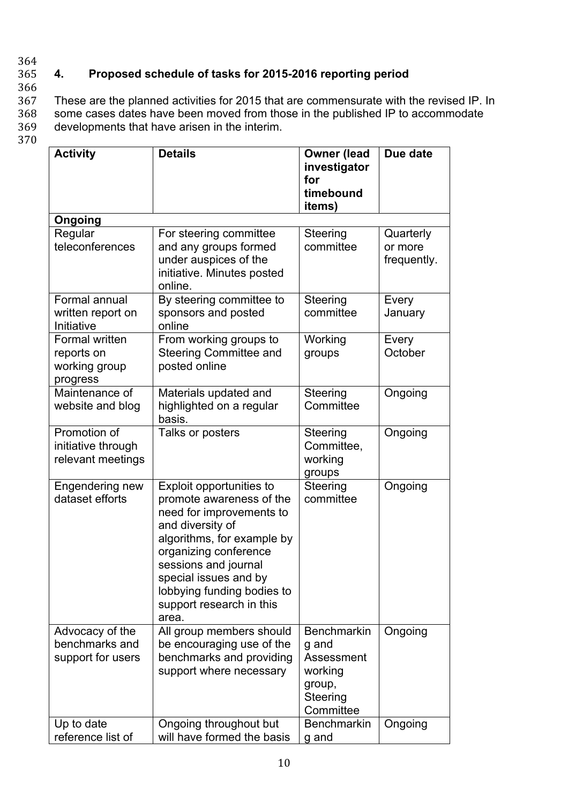#### 364 365 **4. Proposed schedule of tasks for 2015-2016 reporting period** 366

367 These are the planned activities for 2015 that are commensurate with the revised IP. In 368 some cases dates have been moved from those in the published IP to accommodate 369 developments that have arisen in the interim.

370

| <b>Activity</b>                                           | <b>Details</b>                                                                                                                                                                                                                                                                  | <b>Owner (lead</b><br>investigator<br>for<br>timebound<br>items)                        | Due date                            |
|-----------------------------------------------------------|---------------------------------------------------------------------------------------------------------------------------------------------------------------------------------------------------------------------------------------------------------------------------------|-----------------------------------------------------------------------------------------|-------------------------------------|
| Ongoing                                                   |                                                                                                                                                                                                                                                                                 |                                                                                         |                                     |
| Regular<br>teleconferences                                | For steering committee<br>and any groups formed<br>under auspices of the<br>initiative. Minutes posted<br>online.                                                                                                                                                               | Steering<br>committee                                                                   | Quarterly<br>or more<br>frequently. |
| Formal annual<br>written report on<br>Initiative          | By steering committee to<br>sponsors and posted<br>online                                                                                                                                                                                                                       | Steering<br>committee                                                                   | Every<br>January                    |
| Formal written<br>reports on<br>working group<br>progress | From working groups to<br><b>Steering Committee and</b><br>posted online                                                                                                                                                                                                        | Working<br>groups                                                                       | Every<br>October                    |
| Maintenance of<br>website and blog                        | Materials updated and<br>highlighted on a regular<br>basis.                                                                                                                                                                                                                     | <b>Steering</b><br>Committee                                                            | Ongoing                             |
| Promotion of<br>initiative through<br>relevant meetings   | Talks or posters                                                                                                                                                                                                                                                                | Steering<br>Committee,<br>working<br>groups                                             | Ongoing                             |
| Engendering new<br>dataset efforts                        | Exploit opportunities to<br>promote awareness of the<br>need for improvements to<br>and diversity of<br>algorithms, for example by<br>organizing conference<br>sessions and journal<br>special issues and by<br>lobbying funding bodies to<br>support research in this<br>area. | Steering<br>committee                                                                   | Ongoing                             |
| Advocacy of the<br>benchmarks and<br>support for users    | All group members should<br>be encouraging use of the<br>benchmarks and providing<br>support where necessary                                                                                                                                                                    | <b>Benchmarkin</b><br>g and<br>Assessment<br>working<br>group,<br>Steering<br>Committee | Ongoing                             |
| Up to date<br>reference list of                           | Ongoing throughout but<br>will have formed the basis                                                                                                                                                                                                                            | <b>Benchmarkin</b><br>g and                                                             | Ongoing                             |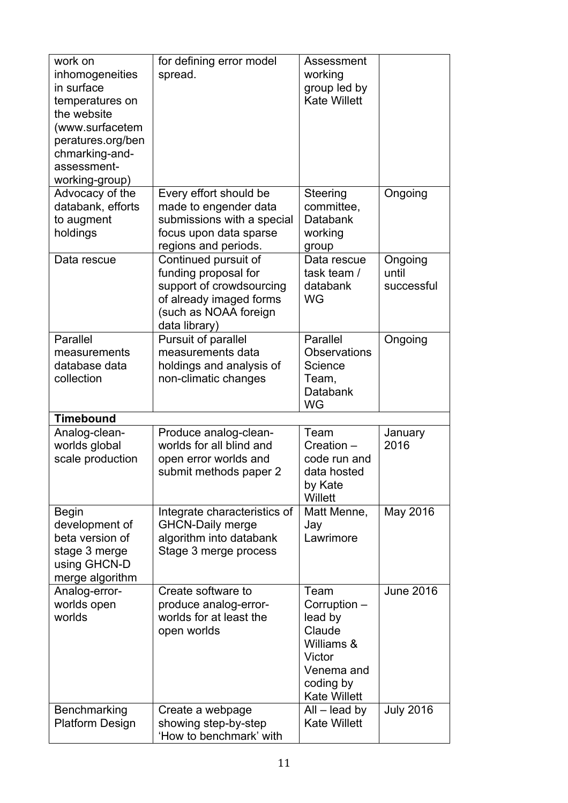| Advocacy of the<br>Every effort should be<br>Steering<br>Ongoing<br>databank, efforts<br>made to engender data<br>committee,                                                                                                                                               |  |
|----------------------------------------------------------------------------------------------------------------------------------------------------------------------------------------------------------------------------------------------------------------------------|--|
| submissions with a special<br>Databank<br>to augment<br>focus upon data sparse<br>holdings<br>working<br>regions and periods.<br>group                                                                                                                                     |  |
| Continued pursuit of<br>Ongoing<br>Data rescue<br>Data rescue<br>funding proposal for<br>until<br>task team /<br>support of crowdsourcing<br>databank<br>successful<br>of already imaged forms<br><b>WG</b><br>(such as NOAA foreign<br>data library)                      |  |
| Parallel<br>Parallel<br>Pursuit of parallel<br>Ongoing<br>measurements data<br><b>Observations</b><br>measurements<br>database data<br>holdings and analysis of<br>Science<br>collection<br>non-climatic changes<br>Team,<br>Databank<br><b>WG</b>                         |  |
| <b>Timebound</b>                                                                                                                                                                                                                                                           |  |
| Team<br>Analog-clean-<br>Produce analog-clean-<br>January<br>worlds global<br>worlds for all blind and<br>2016<br>Creation -<br>scale production<br>code run and<br>open error worlds and<br>data hosted<br>submit methods paper 2<br>by Kate<br>Willett                   |  |
| May 2016<br><b>Begin</b><br>Integrate characteristics of<br>Matt Menne,<br>development of<br><b>GHCN-Daily merge</b><br>Jay<br>beta version of<br>algorithm into databank<br>Lawrimore<br>Stage 3 merge process<br>stage 3 merge<br>using GHCN-D<br>merge algorithm        |  |
| <b>June 2016</b><br>Analog-error-<br>Create software to<br>Team<br>worlds open<br>Corruption -<br>produce analog-error-<br>worlds for at least the<br>worlds<br>lead by<br>Claude<br>open worlds<br>Williams &<br>Victor<br>Venema and<br>coding by<br><b>Kate Willett</b> |  |
| <b>July 2016</b><br>Benchmarking<br>$All$ – lead by<br>Create a webpage<br>showing step-by-step<br><b>Kate Willett</b><br><b>Platform Design</b><br>'How to benchmark' with                                                                                                |  |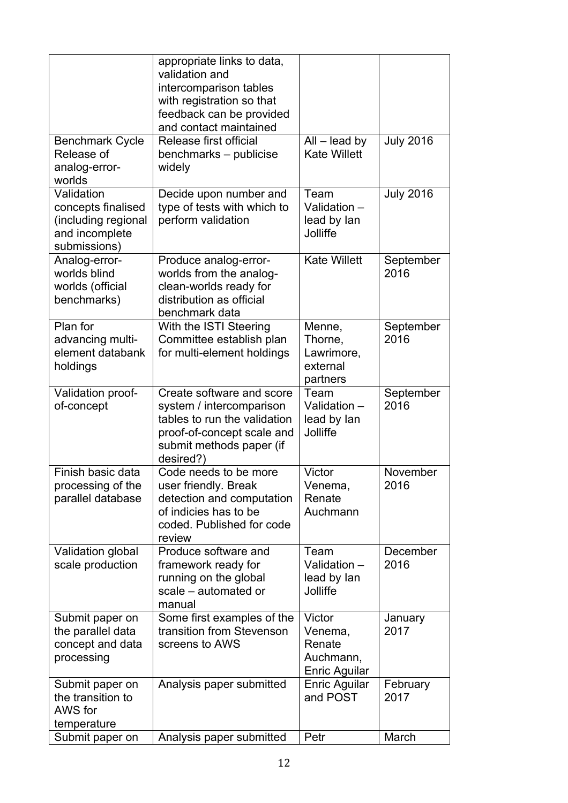|                                                                                           | appropriate links to data,<br>validation and<br>intercomparison tables<br>with registration so that<br>feedback can be provided<br>and contact maintained    |                                                                  |                   |
|-------------------------------------------------------------------------------------------|--------------------------------------------------------------------------------------------------------------------------------------------------------------|------------------------------------------------------------------|-------------------|
| <b>Benchmark Cycle</b><br>Release of<br>analog-error-<br>worlds                           | Release first official<br>benchmarks - publicise<br>widely                                                                                                   | $All$ – lead by<br><b>Kate Willett</b>                           | <b>July 2016</b>  |
| Validation<br>concepts finalised<br>(including regional<br>and incomplete<br>submissions) | Decide upon number and<br>type of tests with which to<br>perform validation                                                                                  | Team<br>Validation -<br>lead by lan<br>Jolliffe                  | <b>July 2016</b>  |
| Analog-error-<br>worlds blind<br>worlds (official<br>benchmarks)                          | Produce analog-error-<br>worlds from the analog-<br>clean-worlds ready for<br>distribution as official<br>benchmark data                                     | <b>Kate Willett</b>                                              | September<br>2016 |
| Plan for<br>advancing multi-<br>element databank<br>holdings                              | With the ISTI Steering<br>Committee establish plan<br>for multi-element holdings                                                                             | Menne,<br>Thorne,<br>Lawrimore,<br>external<br>partners          | September<br>2016 |
| Validation proof-<br>of-concept                                                           | Create software and score<br>system / intercomparison<br>tables to run the validation<br>proof-of-concept scale and<br>submit methods paper (if<br>desired?) | Team<br>Validation -<br>lead by lan<br>Jolliffe                  | September<br>2016 |
| Finish basic data<br>processing of the<br>parallel database                               | Code needs to be more<br>user friendly. Break<br>detection and computation<br>of indicies has to be<br>coded. Published for code<br>review                   | Victor<br>Venema,<br>Renate<br>Auchmann                          | November<br>2016  |
| Validation global<br>scale production                                                     | Produce software and<br>framework ready for<br>running on the global<br>scale - automated or<br>manual                                                       | Team<br>Validation -<br>lead by lan<br>Jolliffe                  | December<br>2016  |
| Submit paper on<br>the parallel data<br>concept and data<br>processing                    | Some first examples of the<br>transition from Stevenson<br>screens to AWS                                                                                    | Victor<br>Venema,<br>Renate<br>Auchmann,<br><b>Enric Aguilar</b> | January<br>2017   |
| Submit paper on<br>the transition to<br>AWS for<br>temperature                            | Analysis paper submitted                                                                                                                                     | <b>Enric Aguilar</b><br>and POST                                 | February<br>2017  |
| Submit paper on                                                                           | Analysis paper submitted                                                                                                                                     | Petr                                                             | March             |